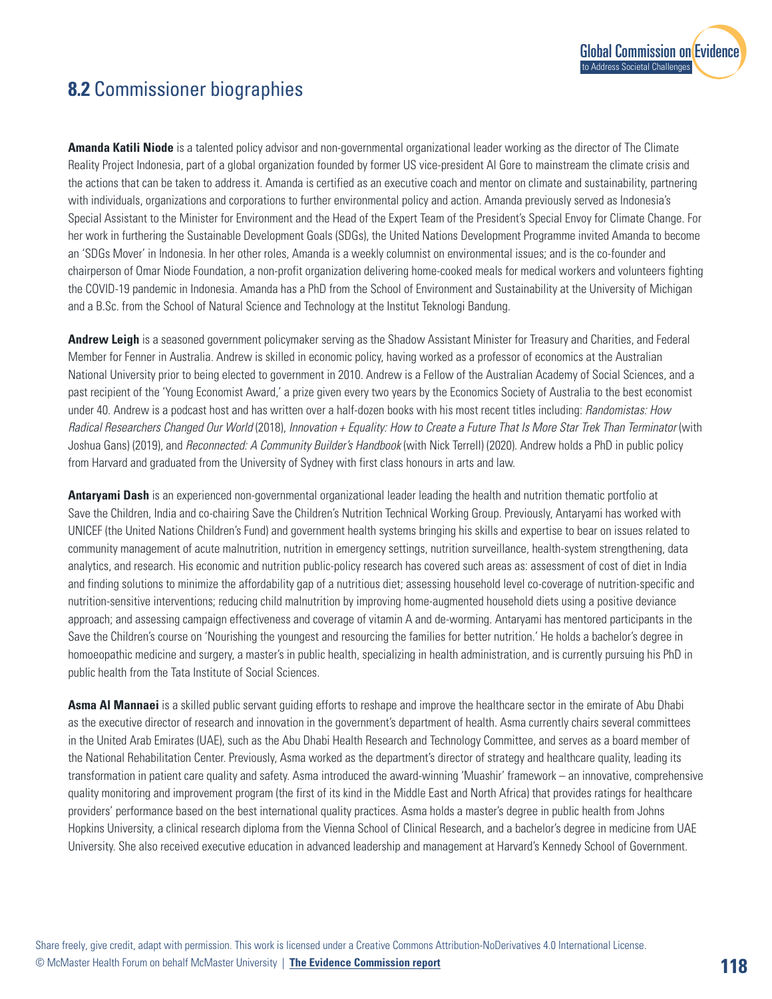

## **8.2** Commissioner biographies

**Amanda Katili Niode** is a talented policy advisor and non-governmental organizational leader working as the director of The Climate Reality Project Indonesia, part of a global organization founded by former US vice-president Al Gore to mainstream the climate crisis and the actions that can be taken to address it. Amanda is certified as an executive coach and mentor on climate and sustainability, partnering with individuals, organizations and corporations to further environmental policy and action. Amanda previously served as Indonesia's Special Assistant to the Minister for Environment and the Head of the Expert Team of the President's Special Envoy for Climate Change. For her work in furthering the Sustainable Development Goals (SDGs), the United Nations Development Programme invited Amanda to become an 'SDGs Mover' in Indonesia. In her other roles, Amanda is a weekly columnist on environmental issues; and is the co-founder and chairperson of Omar Niode Foundation, a non-profit organization delivering home-cooked meals for medical workers and volunteers fighting the COVID-19 pandemic in Indonesia. Amanda has a PhD from the School of Environment and Sustainability at the University of Michigan and a B.Sc. from the School of Natural Science and Technology at the Institut Teknologi Bandung.

**Andrew Leigh** is a seasoned government policymaker serving as the Shadow Assistant Minister for Treasury and Charities, and Federal Member for Fenner in Australia. Andrew is skilled in economic policy, having worked as a professor of economics at the Australian National University prior to being elected to government in 2010. Andrew is a Fellow of the Australian Academy of Social Sciences, and a past recipient of the 'Young Economist Award,' a prize given every two years by the Economics Society of Australia to the best economist under 40. Andrew is a podcast host and has written over a half-dozen books with his most recent titles including: *Randomistas: How*  Radical Researchers Changed Our World (2018), *Innovation + Equality: How to Create a Future That Is More Star Trek Than Terminator* (with Joshua Gans) (2019), and *Reconnected: A Community Builder's Handbook* (with Nick Terrell) (2020). Andrew holds a PhD in public policy from Harvard and graduated from the University of Sydney with first class honours in arts and law.

**Antaryami Dash** is an experienced non-governmental organizational leader leading the health and nutrition thematic portfolio at Save the Children, India and co-chairing Save the Children's Nutrition Technical Working Group. Previously, Antaryami has worked with UNICEF (the United Nations Children's Fund) and government health systems bringing his skills and expertise to bear on issues related to community management of acute malnutrition, nutrition in emergency settings, nutrition surveillance, health-system strengthening, data analytics, and research. His economic and nutrition public-policy research has covered such areas as: assessment of cost of diet in India and finding solutions to minimize the affordability gap of a nutritious diet; assessing household level co-coverage of nutrition-specific and nutrition-sensitive interventions; reducing child malnutrition by improving home-augmented household diets using a positive deviance approach; and assessing campaign effectiveness and coverage of vitamin A and de-worming. Antaryami has mentored participants in the Save the Children's course on 'Nourishing the youngest and resourcing the families for better nutrition.' He holds a bachelor's degree in homoeopathic medicine and surgery, a master's in public health, specializing in health administration, and is currently pursuing his PhD in public health from the Tata Institute of Social Sciences.

**Asma Al Mannaei** is a skilled public servant guiding efforts to reshape and improve the healthcare sector in the emirate of Abu Dhabi as the executive director of research and innovation in the government's department of health. Asma currently chairs several committees in the United Arab Emirates (UAE), such as the Abu Dhabi Health Research and Technology Committee, and serves as a board member of the National Rehabilitation Center. Previously, Asma worked as the department's director of strategy and healthcare quality, leading its transformation in patient care quality and safety. Asma introduced the award-winning 'Muashir' framework – an innovative, comprehensive quality monitoring and improvement program (the first of its kind in the Middle East and North Africa) that provides ratings for healthcare providers' performance based on the best international quality practices. Asma holds a master's degree in public health from Johns Hopkins University, a clinical research diploma from the Vienna School of Clinical Research, and a bachelor's degree in medicine from UAE University. She also received executive education in advanced leadership and management at Harvard's Kennedy School of Government.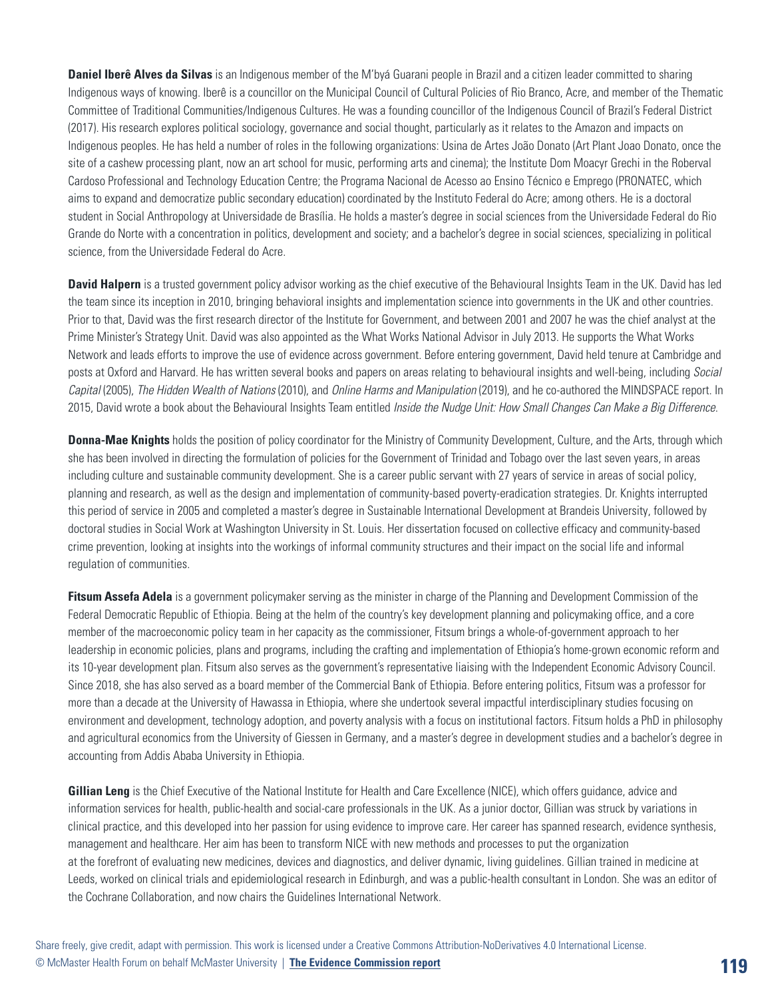**Daniel Iberê Alves da Silvas** is an Indigenous member of the M'byá Guarani people in Brazil and a citizen leader committed to sharing Indigenous ways of knowing. Iberê is a councillor on the Municipal Council of Cultural Policies of Rio Branco, Acre, and member of the Thematic Committee of Traditional Communities/Indigenous Cultures. He was a founding councillor of the Indigenous Council of Brazil's Federal District (2017). His research explores political sociology, governance and social thought, particularly as it relates to the Amazon and impacts on Indigenous peoples. He has held a number of roles in the following organizations: Usina de Artes João Donato (Art Plant Joao Donato, once the site of a cashew processing plant, now an art school for music, performing arts and cinema); the Institute Dom Moacyr Grechi in the Roberval Cardoso Professional and Technology Education Centre; the Programa Nacional de Acesso ao Ensino Técnico e Emprego (PRONATEC, which aims to expand and democratize public secondary education) coordinated by the Instituto Federal do Acre; among others. He is a doctoral student in Social Anthropology at Universidade de Brasília. He holds a master's degree in social sciences from the Universidade Federal do Rio Grande do Norte with a concentration in politics, development and society; and a bachelor's degree in social sciences, specializing in political science, from the Universidade Federal do Acre.

**David Halpern** is a trusted government policy advisor working as the chief executive of the Behavioural Insights Team in the UK. David has led the team since its inception in 2010, bringing behavioral insights and implementation science into governments in the UK and other countries. Prior to that, David was the first research director of the Institute for Government, and between 2001 and 2007 he was the chief analyst at the Prime Minister's Strategy Unit. David was also appointed as the What Works National Advisor in July 2013. He supports the What Works Network and leads efforts to improve the use of evidence across government. Before entering government, David held tenure at Cambridge and posts at Oxford and Harvard. He has written several books and papers on areas relating to behavioural insights and well-being, including *Social Capital* (2005), *The Hidden Wealth of Nations* (2010), and *Online Harms and Manipulation* (2019), and he co-authored the MINDSPACE report. In 2015, David wrote a book about the Behavioural Insights Team entitled *Inside the Nudge Unit: How Small Changes Can Make a Big Difference*.

**Donna-Mae Knights** holds the position of policy coordinator for the Ministry of Community Development, Culture, and the Arts, through which she has been involved in directing the formulation of policies for the Government of Trinidad and Tobago over the last seven years, in areas including culture and sustainable community development. She is a career public servant with 27 years of service in areas of social policy, planning and research, as well as the design and implementation of community-based poverty-eradication strategies. Dr. Knights interrupted this period of service in 2005 and completed a master's degree in Sustainable International Development at Brandeis University, followed by doctoral studies in Social Work at Washington University in St. Louis. Her dissertation focused on collective efficacy and community-based crime prevention, looking at insights into the workings of informal community structures and their impact on the social life and informal regulation of communities.

**Fitsum Assefa Adela** is a government policymaker serving as the minister in charge of the Planning and Development Commission of the Federal Democratic Republic of Ethiopia. Being at the helm of the country's key development planning and policymaking office, and a core member of the macroeconomic policy team in her capacity as the commissioner, Fitsum brings a whole-of-government approach to her leadership in economic policies, plans and programs, including the crafting and implementation of Ethiopia's home-grown economic reform and its 10-year development plan. Fitsum also serves as the government's representative liaising with the Independent Economic Advisory Council. Since 2018, she has also served as a board member of the Commercial Bank of Ethiopia. Before entering politics, Fitsum was a professor for more than a decade at the University of Hawassa in Ethiopia, where she undertook several impactful interdisciplinary studies focusing on environment and development, technology adoption, and poverty analysis with a focus on institutional factors. Fitsum holds a PhD in philosophy and agricultural economics from the University of Giessen in Germany, and a master's degree in development studies and a bachelor's degree in accounting from Addis Ababa University in Ethiopia.

**Gillian Leng** is the Chief Executive of the National Institute for Health and Care Excellence (NICE), which offers guidance, advice and information services for health, public-health and social-care professionals in the UK. As a junior doctor, Gillian was struck by variations in clinical practice, and this developed into her passion for using evidence to improve care. Her career has spanned research, evidence synthesis, management and healthcare. Her aim has been to transform NICE with new methods and processes to put the organization at the forefront of evaluating new medicines, devices and diagnostics, and deliver dynamic, living guidelines. Gillian trained in medicine at Leeds, worked on clinical trials and epidemiological research in Edinburgh, and was a public-health consultant in London. She was an editor of the Cochrane Collaboration, and now chairs the Guidelines International Network.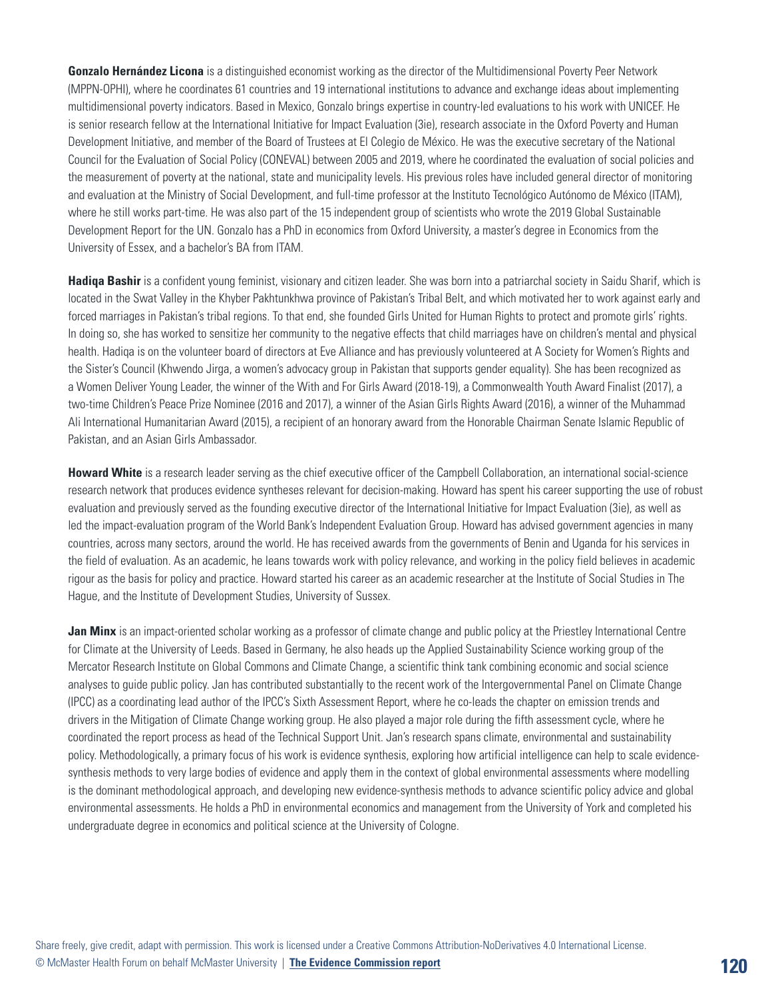**Gonzalo Hernández Licona** is a distinguished economist working as the director of the Multidimensional Poverty Peer Network (MPPN-OPHI), where he coordinates 61 countries and 19 international institutions to advance and exchange ideas about implementing multidimensional poverty indicators. Based in Mexico, Gonzalo brings expertise in country-led evaluations to his work with UNICEF. He is senior research fellow at the International Initiative for Impact Evaluation (3ie), research associate in the Oxford Poverty and Human Development Initiative, and member of the Board of Trustees at El Colegio de México. He was the executive secretary of the National Council for the Evaluation of Social Policy (CONEVAL) between 2005 and 2019, where he coordinated the evaluation of social policies and the measurement of poverty at the national, state and municipality levels. His previous roles have included general director of monitoring and evaluation at the Ministry of Social Development, and full-time professor at the Instituto Tecnológico Autónomo de México (ITAM), where he still works part-time. He was also part of the 15 independent group of scientists who wrote the 2019 Global Sustainable Development Report for the UN. Gonzalo has a PhD in economics from Oxford University, a master's degree in Economics from the University of Essex, and a bachelor's BA from ITAM.

**Hadiqa Bashir** is a confident young feminist, visionary and citizen leader. She was born into a patriarchal society in Saidu Sharif, which is located in the Swat Valley in the Khyber Pakhtunkhwa province of Pakistan's Tribal Belt, and which motivated her to work against early and forced marriages in Pakistan's tribal regions. To that end, she founded Girls United for Human Rights to protect and promote girls' rights. In doing so, she has worked to sensitize her community to the negative effects that child marriages have on children's mental and physical health. Hadiqa is on the volunteer board of directors at Eve Alliance and has previously volunteered at A Society for Women's Rights and the Sister's Council (Khwendo Jirga, a women's advocacy group in Pakistan that supports gender equality). She has been recognized as a Women Deliver Young Leader, the winner of the With and For Girls Award (2018-19), a Commonwealth Youth Award Finalist (2017), a two-time Children's Peace Prize Nominee (2016 and 2017), a winner of the Asian Girls Rights Award (2016), a winner of the Muhammad Ali International Humanitarian Award (2015), a recipient of an honorary award from the Honorable Chairman Senate Islamic Republic of Pakistan, and an Asian Girls Ambassador.

**Howard White** is a research leader serving as the chief executive officer of the Campbell Collaboration, an international social-science research network that produces evidence syntheses relevant for decision-making. Howard has spent his career supporting the use of robust evaluation and previously served as the founding executive director of the International Initiative for Impact Evaluation (3ie), as well as led the impact-evaluation program of the World Bank's Independent Evaluation Group. Howard has advised government agencies in many countries, across many sectors, around the world. He has received awards from the governments of Benin and Uganda for his services in the field of evaluation. As an academic, he leans towards work with policy relevance, and working in the policy field believes in academic rigour as the basis for policy and practice. Howard started his career as an academic researcher at the Institute of Social Studies in The Hague, and the Institute of Development Studies, University of Sussex.

**Jan Minx** is an impact-oriented scholar working as a professor of climate change and public policy at the Priestley International Centre for Climate at the University of Leeds. Based in Germany, he also heads up the Applied Sustainability Science working group of the Mercator Research Institute on Global Commons and Climate Change, a scientific think tank combining economic and social science analyses to guide public policy. Jan has contributed substantially to the recent work of the Intergovernmental Panel on Climate Change (IPCC) as a coordinating lead author of the IPCC's Sixth Assessment Report, where he co-leads the chapter on emission trends and drivers in the Mitigation of Climate Change working group. He also played a major role during the fifth assessment cycle, where he coordinated the report process as head of the Technical Support Unit. Jan's research spans climate, environmental and sustainability policy. Methodologically, a primary focus of his work is evidence synthesis, exploring how artificial intelligence can help to scale evidencesynthesis methods to very large bodies of evidence and apply them in the context of global environmental assessments where modelling is the dominant methodological approach, and developing new evidence-synthesis methods to advance scientific policy advice and global environmental assessments. He holds a PhD in environmental economics and management from the University of York and completed his undergraduate degree in economics and political science at the University of Cologne.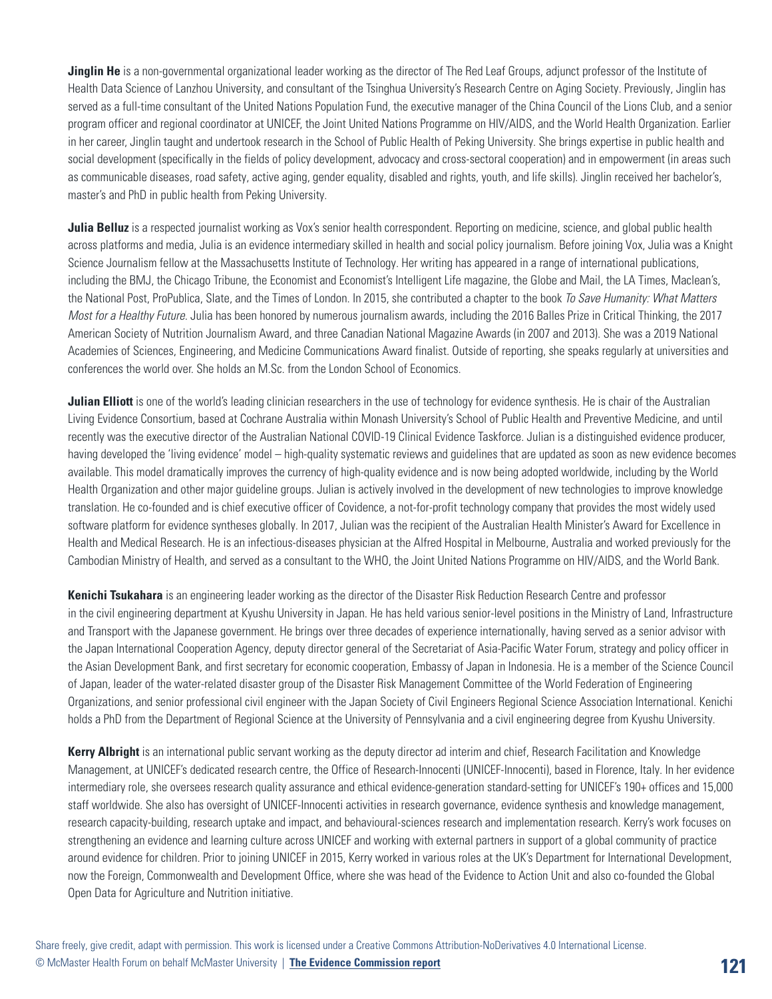**Jinglin He** is a non-governmental organizational leader working as the director of The Red Leaf Groups, adjunct professor of the Institute of Health Data Science of Lanzhou University, and consultant of the Tsinghua University's Research Centre on Aging Society. Previously, Jinglin has served as a full-time consultant of the United Nations Population Fund, the executive manager of the China Council of the Lions Club, and a senior program officer and regional coordinator at UNICEF, the Joint United Nations Programme on HIV/AIDS, and the World Health Organization. Earlier in her career, Jinglin taught and undertook research in the School of Public Health of Peking University. She brings expertise in public health and social development (specifically in the fields of policy development, advocacy and cross-sectoral cooperation) and in empowerment (in areas such as communicable diseases, road safety, active aging, gender equality, disabled and rights, youth, and life skills). Jinglin received her bachelor's, master's and PhD in public health from Peking University.

**Julia Belluz** is a respected journalist working as Vox's senior health correspondent. Reporting on medicine, science, and global public health across platforms and media, Julia is an evidence intermediary skilled in health and social policy journalism. Before joining Vox, Julia was a Knight Science Journalism fellow at the Massachusetts Institute of Technology. Her writing has appeared in a range of international publications, including the BMJ, the Chicago Tribune, the Economist and Economist's Intelligent Life magazine, the Globe and Mail, the LA Times, Maclean's, the National Post, ProPublica, Slate, and the Times of London. In 2015, she contributed a chapter to the book *To Save Humanity: What Matters Most for a Healthy Future*. Julia has been honored by numerous journalism awards, including the 2016 Balles Prize in Critical Thinking, the 2017 American Society of Nutrition Journalism Award, and three Canadian National Magazine Awards (in 2007 and 2013). She was a 2019 National Academies of Sciences, Engineering, and Medicine Communications Award finalist. Outside of reporting, she speaks regularly at universities and conferences the world over. She holds an M.Sc. from the London School of Economics.

**Julian Elliott** is one of the world's leading clinician researchers in the use of technology for evidence synthesis. He is chair of the Australian Living Evidence Consortium, based at Cochrane Australia within Monash University's School of Public Health and Preventive Medicine, and until recently was the executive director of the Australian National COVID-19 Clinical Evidence Taskforce. Julian is a distinguished evidence producer, having developed the 'living evidence' model – high-quality systematic reviews and guidelines that are updated as soon as new evidence becomes available. This model dramatically improves the currency of high-quality evidence and is now being adopted worldwide, including by the World Health Organization and other major guideline groups. Julian is actively involved in the development of new technologies to improve knowledge translation. He co-founded and is chief executive officer of Covidence, a not-for-profit technology company that provides the most widely used software platform for evidence syntheses globally. In 2017, Julian was the recipient of the Australian Health Minister's Award for Excellence in Health and Medical Research. He is an infectious-diseases physician at the Alfred Hospital in Melbourne, Australia and worked previously for the Cambodian Ministry of Health, and served as a consultant to the WHO, the Joint United Nations Programme on HIV/AIDS, and the World Bank.

**Kenichi Tsukahara** is an engineering leader working as the director of the Disaster Risk Reduction Research Centre and professor in the civil engineering department at Kyushu University in Japan. He has held various senior-level positions in the Ministry of Land, Infrastructure and Transport with the Japanese government. He brings over three decades of experience internationally, having served as a senior advisor with the Japan International Cooperation Agency, deputy director general of the Secretariat of Asia-Pacific Water Forum, strategy and policy officer in the Asian Development Bank, and first secretary for economic cooperation, Embassy of Japan in Indonesia. He is a member of the Science Council of Japan, leader of the water-related disaster group of the Disaster Risk Management Committee of the World Federation of Engineering Organizations, and senior professional civil engineer with the Japan Society of Civil Engineers Regional Science Association International. Kenichi holds a PhD from the Department of Regional Science at the University of Pennsylvania and a civil engineering degree from Kyushu University.

**Kerry Albright** is an international public servant working as the deputy director ad interim and chief, Research Facilitation and Knowledge Management, at UNICEF's dedicated research centre, the Office of Research-Innocenti (UNICEF-Innocenti), based in Florence, Italy. In her evidence intermediary role, she oversees research quality assurance and ethical evidence-generation standard-setting for UNICEF's 190+ offices and 15,000 staff worldwide. She also has oversight of UNICEF-Innocenti activities in research governance, evidence synthesis and knowledge management, research capacity-building, research uptake and impact, and behavioural-sciences research and implementation research. Kerry's work focuses on strengthening an evidence and learning culture across UNICEF and working with external partners in support of a global community of practice around evidence for children. Prior to joining UNICEF in 2015, Kerry worked in various roles at the UK's Department for International Development, now the Foreign, Commonwealth and Development Office, where she was head of the Evidence to Action Unit and also co-founded the Global Open Data for Agriculture and Nutrition initiative.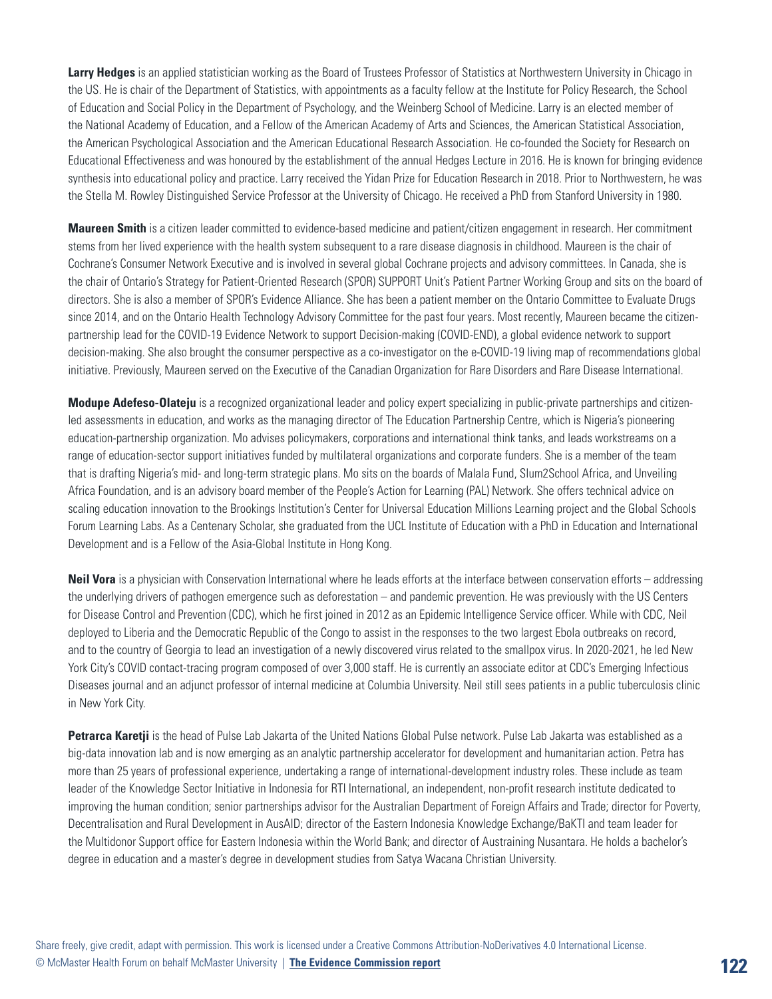Larry Hedges is an applied statistician working as the Board of Trustees Professor of Statistics at Northwestern University in Chicago in the US. He is chair of the Department of Statistics, with appointments as a faculty fellow at the Institute for Policy Research, the School of Education and Social Policy in the Department of Psychology, and the Weinberg School of Medicine. Larry is an elected member of the National Academy of Education, and a Fellow of the American Academy of Arts and Sciences, the American Statistical Association, the American Psychological Association and the American Educational Research Association. He co-founded the Society for Research on Educational Effectiveness and was honoured by the establishment of the annual Hedges Lecture in 2016. He is known for bringing evidence synthesis into educational policy and practice. Larry received the Yidan Prize for Education Research in 2018. Prior to Northwestern, he was the Stella M. Rowley Distinguished Service Professor at the University of Chicago. He received a PhD from Stanford University in 1980.

**Maureen Smith** is a citizen leader committed to evidence-based medicine and patient/citizen engagement in research. Her commitment stems from her lived experience with the health system subsequent to a rare disease diagnosis in childhood. Maureen is the chair of Cochrane's Consumer Network Executive and is involved in several global Cochrane projects and advisory committees. In Canada, she is the chair of Ontario's Strategy for Patient-Oriented Research (SPOR) SUPPORT Unit's Patient Partner Working Group and sits on the board of directors. She is also a member of SPOR's Evidence Alliance. She has been a patient member on the Ontario Committee to Evaluate Drugs since 2014, and on the Ontario Health Technology Advisory Committee for the past four years. Most recently, Maureen became the citizenpartnership lead for the COVID-19 Evidence Network to support Decision-making (COVID-END), a global evidence network to support decision-making. She also brought the consumer perspective as a co-investigator on the e-COVID-19 living map of recommendations global initiative. Previously, Maureen served on the Executive of the Canadian Organization for Rare Disorders and Rare Disease International.

**Modupe Adefeso-Olateju** is a recognized organizational leader and policy expert specializing in public-private partnerships and citizenled assessments in education, and works as the managing director of The Education Partnership Centre, which is Nigeria's pioneering education-partnership organization. Mo advises policymakers, corporations and international think tanks, and leads workstreams on a range of education-sector support initiatives funded by multilateral organizations and corporate funders. She is a member of the team that is drafting Nigeria's mid- and long-term strategic plans. Mo sits on the boards of Malala Fund, Slum2School Africa, and Unveiling Africa Foundation, and is an advisory board member of the People's Action for Learning (PAL) Network. She offers technical advice on scaling education innovation to the Brookings Institution's Center for Universal Education Millions Learning project and the Global Schools Forum Learning Labs. As a Centenary Scholar, she graduated from the UCL Institute of Education with a PhD in Education and International Development and is a Fellow of the Asia-Global Institute in Hong Kong.

**Neil Vora** is a physician with Conservation International where he leads efforts at the interface between conservation efforts – addressing the underlying drivers of pathogen emergence such as deforestation – and pandemic prevention. He was previously with the US Centers for Disease Control and Prevention (CDC), which he first joined in 2012 as an Epidemic Intelligence Service officer. While with CDC, Neil deployed to Liberia and the Democratic Republic of the Congo to assist in the responses to the two largest Ebola outbreaks on record, and to the country of Georgia to lead an investigation of a newly discovered virus related to the smallpox virus. In 2020-2021, he led New York City's COVID contact-tracing program composed of over 3,000 staff. He is currently an associate editor at CDC's Emerging Infectious Diseases journal and an adjunct professor of internal medicine at Columbia University. Neil still sees patients in a public tuberculosis clinic in New York City.

**Petrarca Karetji** is the head of Pulse Lab Jakarta of the United Nations Global Pulse network. Pulse Lab Jakarta was established as a big-data innovation lab and is now emerging as an analytic partnership accelerator for development and humanitarian action. Petra has more than 25 years of professional experience, undertaking a range of international-development industry roles. These include as team leader of the Knowledge Sector Initiative in Indonesia for RTI International, an independent, non-profit research institute dedicated to improving the human condition; senior partnerships advisor for the Australian Department of Foreign Affairs and Trade; director for Poverty, Decentralisation and Rural Development in AusAID; director of the Eastern Indonesia Knowledge Exchange/BaKTI and team leader for the Multidonor Support office for Eastern Indonesia within the World Bank; and director of Austraining Nusantara. He holds a bachelor's degree in education and a master's degree in development studies from Satya Wacana Christian University.